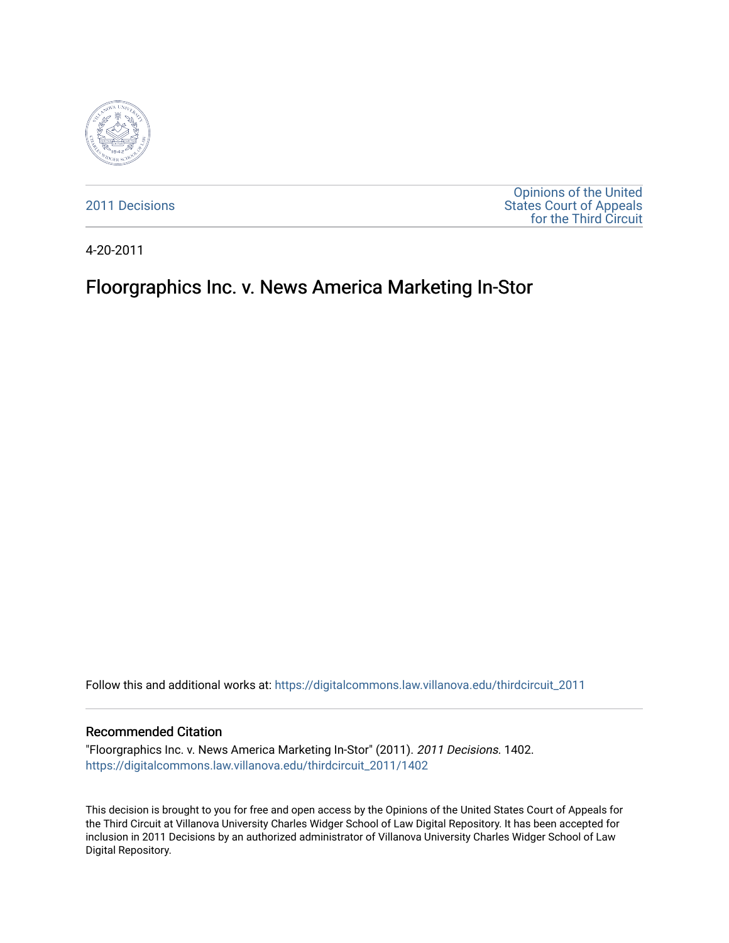

[2011 Decisions](https://digitalcommons.law.villanova.edu/thirdcircuit_2011)

[Opinions of the United](https://digitalcommons.law.villanova.edu/thirdcircuit)  [States Court of Appeals](https://digitalcommons.law.villanova.edu/thirdcircuit)  [for the Third Circuit](https://digitalcommons.law.villanova.edu/thirdcircuit) 

4-20-2011

# Floorgraphics Inc. v. News America Marketing In-Stor

Follow this and additional works at: [https://digitalcommons.law.villanova.edu/thirdcircuit\\_2011](https://digitalcommons.law.villanova.edu/thirdcircuit_2011?utm_source=digitalcommons.law.villanova.edu%2Fthirdcircuit_2011%2F1402&utm_medium=PDF&utm_campaign=PDFCoverPages) 

#### Recommended Citation

"Floorgraphics Inc. v. News America Marketing In-Stor" (2011). 2011 Decisions. 1402. [https://digitalcommons.law.villanova.edu/thirdcircuit\\_2011/1402](https://digitalcommons.law.villanova.edu/thirdcircuit_2011/1402?utm_source=digitalcommons.law.villanova.edu%2Fthirdcircuit_2011%2F1402&utm_medium=PDF&utm_campaign=PDFCoverPages) 

This decision is brought to you for free and open access by the Opinions of the United States Court of Appeals for the Third Circuit at Villanova University Charles Widger School of Law Digital Repository. It has been accepted for inclusion in 2011 Decisions by an authorized administrator of Villanova University Charles Widger School of Law Digital Repository.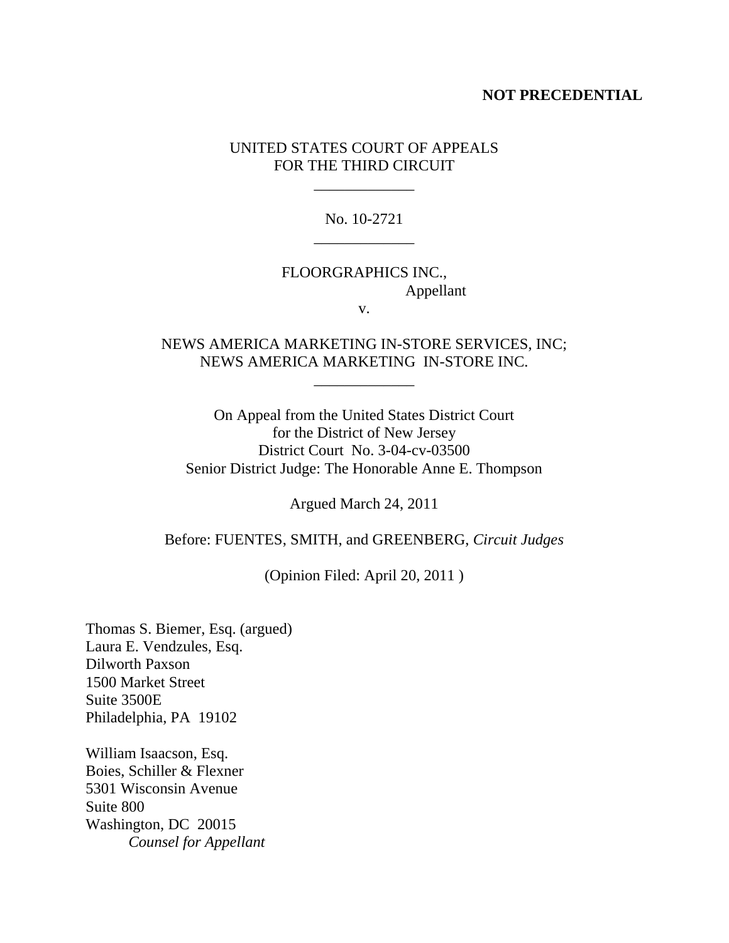### **NOT PRECEDENTIAL**

### UNITED STATES COURT OF APPEALS FOR THE THIRD CIRCUIT

\_\_\_\_\_\_\_\_\_\_\_\_\_

No. 10-2721 \_\_\_\_\_\_\_\_\_\_\_\_\_

## FLOORGRAPHICS INC., Appellant

v.

NEWS AMERICA MARKETING IN-STORE SERVICES, INC; NEWS AMERICA MARKETING IN-STORE INC.

\_\_\_\_\_\_\_\_\_\_\_\_\_

On Appeal from the United States District Court for the District of New Jersey District Court No. 3-04-cv-03500 Senior District Judge: The Honorable Anne E. Thompson

Argued March 24, 2011

Before: FUENTES, SMITH, and GREENBERG, *Circuit Judges*

(Opinion Filed: April 20, 2011 )

Thomas S. Biemer, Esq. (argued) Laura E. Vendzules, Esq. Dilworth Paxson 1500 Market Street Suite 3500E Philadelphia, PA 19102

William Isaacson, Esq. Boies, Schiller & Flexner 5301 Wisconsin Avenue Suite 800 Washington, DC 20015 *Counsel for Appellant*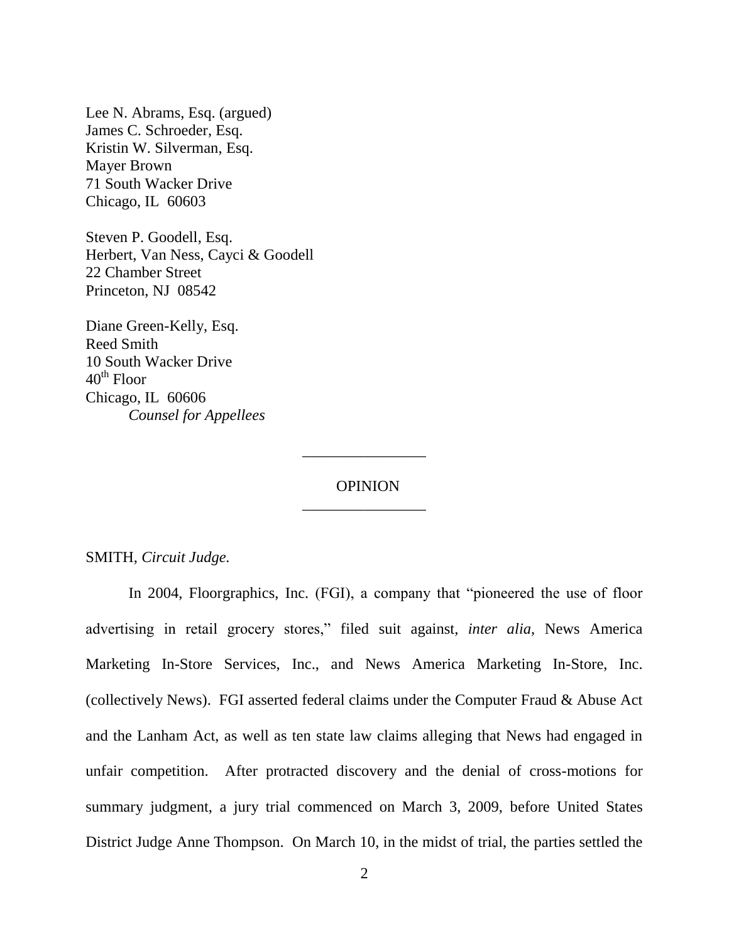Lee N. Abrams, Esq. (argued) James C. Schroeder, Esq. Kristin W. Silverman, Esq. Mayer Brown 71 South Wacker Drive Chicago, IL 60603

Steven P. Goodell, Esq. Herbert, Van Ness, Cayci & Goodell 22 Chamber Street Princeton, NJ 08542

Diane Green-Kelly, Esq. Reed Smith 10 South Wacker Drive  $40<sup>th</sup>$  Floor Chicago, IL 60606 *Counsel for Appellees*

> OPINION \_\_\_\_\_\_\_\_\_\_\_\_\_\_\_\_

> \_\_\_\_\_\_\_\_\_\_\_\_\_\_\_\_

SMITH, *Circuit Judge.*

In 2004, Floorgraphics, Inc. (FGI), a company that "pioneered the use of floor advertising in retail grocery stores," filed suit against, *inter alia*, News America Marketing In-Store Services, Inc., and News America Marketing In-Store, Inc. (collectively News). FGI asserted federal claims under the Computer Fraud & Abuse Act and the Lanham Act, as well as ten state law claims alleging that News had engaged in unfair competition. After protracted discovery and the denial of cross-motions for summary judgment, a jury trial commenced on March 3, 2009, before United States District Judge Anne Thompson. On March 10, in the midst of trial, the parties settled the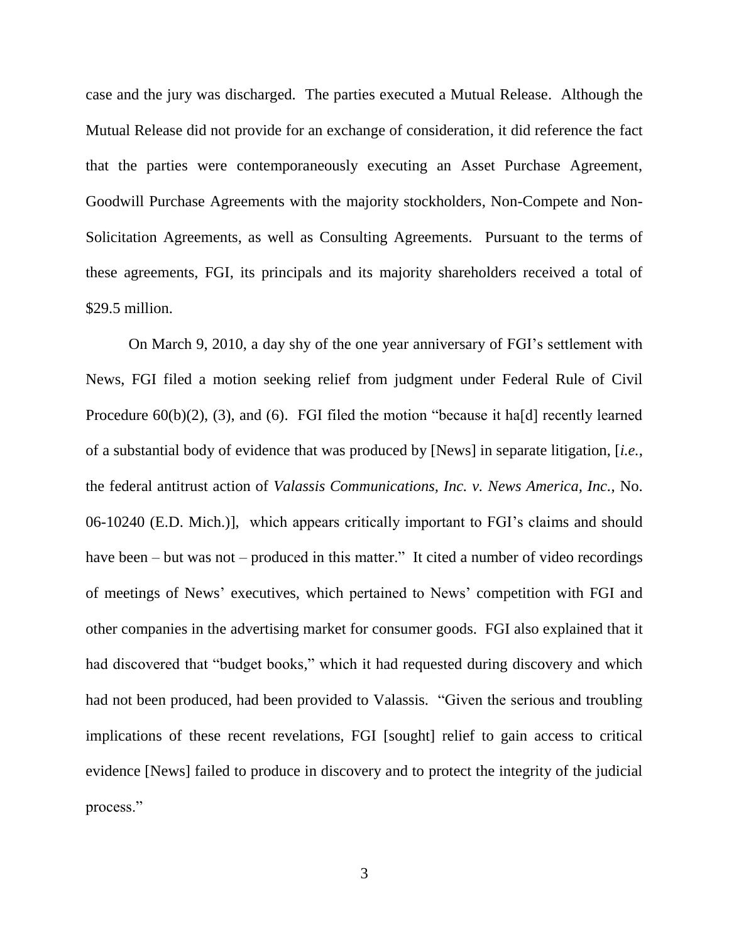case and the jury was discharged. The parties executed a Mutual Release. Although the Mutual Release did not provide for an exchange of consideration, it did reference the fact that the parties were contemporaneously executing an Asset Purchase Agreement, Goodwill Purchase Agreements with the majority stockholders, Non-Compete and Non-Solicitation Agreements, as well as Consulting Agreements. Pursuant to the terms of these agreements, FGI, its principals and its majority shareholders received a total of \$29.5 million.

On March 9, 2010, a day shy of the one year anniversary of FGI"s settlement with News, FGI filed a motion seeking relief from judgment under Federal Rule of Civil Procedure 60(b)(2), (3), and (6). FGI filed the motion "because it ha[d] recently learned of a substantial body of evidence that was produced by [News] in separate litigation, [*i.e.*, the federal antitrust action of *Valassis Communications, Inc. v. News America, Inc.*, No. 06-10240 (E.D. Mich.)], which appears critically important to FGI"s claims and should have been – but was not – produced in this matter." It cited a number of video recordings of meetings of News" executives, which pertained to News" competition with FGI and other companies in the advertising market for consumer goods. FGI also explained that it had discovered that "budget books," which it had requested during discovery and which had not been produced, had been provided to Valassis. "Given the serious and troubling implications of these recent revelations, FGI [sought] relief to gain access to critical evidence [News] failed to produce in discovery and to protect the integrity of the judicial process."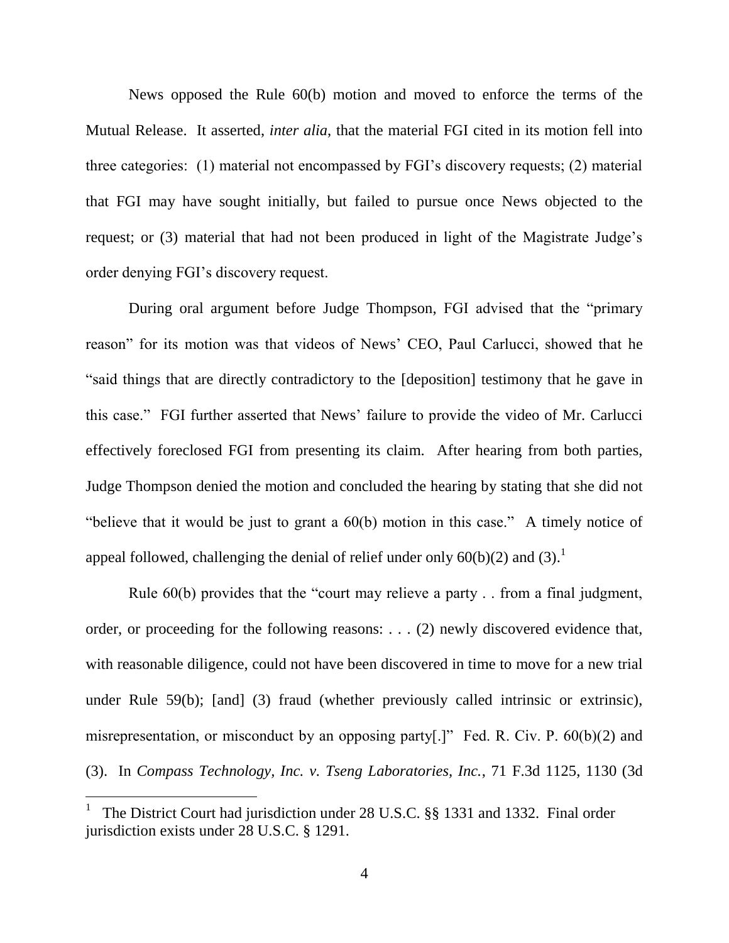News opposed the Rule 60(b) motion and moved to enforce the terms of the Mutual Release. It asserted, *inter alia*, that the material FGI cited in its motion fell into three categories: (1) material not encompassed by FGI"s discovery requests; (2) material that FGI may have sought initially, but failed to pursue once News objected to the request; or (3) material that had not been produced in light of the Magistrate Judge"s order denying FGI"s discovery request.

During oral argument before Judge Thompson, FGI advised that the "primary reason" for its motion was that videos of News" CEO, Paul Carlucci, showed that he "said things that are directly contradictory to the [deposition] testimony that he gave in this case." FGI further asserted that News" failure to provide the video of Mr. Carlucci effectively foreclosed FGI from presenting its claim. After hearing from both parties, Judge Thompson denied the motion and concluded the hearing by stating that she did not "believe that it would be just to grant a 60(b) motion in this case." A timely notice of appeal followed, challenging the denial of relief under only  $60(b)(2)$  and  $(3)$ .<sup>1</sup>

Rule 60(b) provides that the "court may relieve a party . . from a final judgment, order, or proceeding for the following reasons: . . . (2) newly discovered evidence that, with reasonable diligence, could not have been discovered in time to move for a new trial under Rule 59(b); [and] (3) fraud (whether previously called intrinsic or extrinsic), misrepresentation, or misconduct by an opposing party[.]" Fed. R. Civ. P. 60(b)(2) and (3). In *Compass Technology, Inc. v. Tseng Laboratories, Inc.*, 71 F.3d 1125, 1130 (3d

<sup>1</sup> The District Court had jurisdiction under 28 U.S.C. §§ 1331 and 1332. Final order jurisdiction exists under 28 U.S.C. § 1291.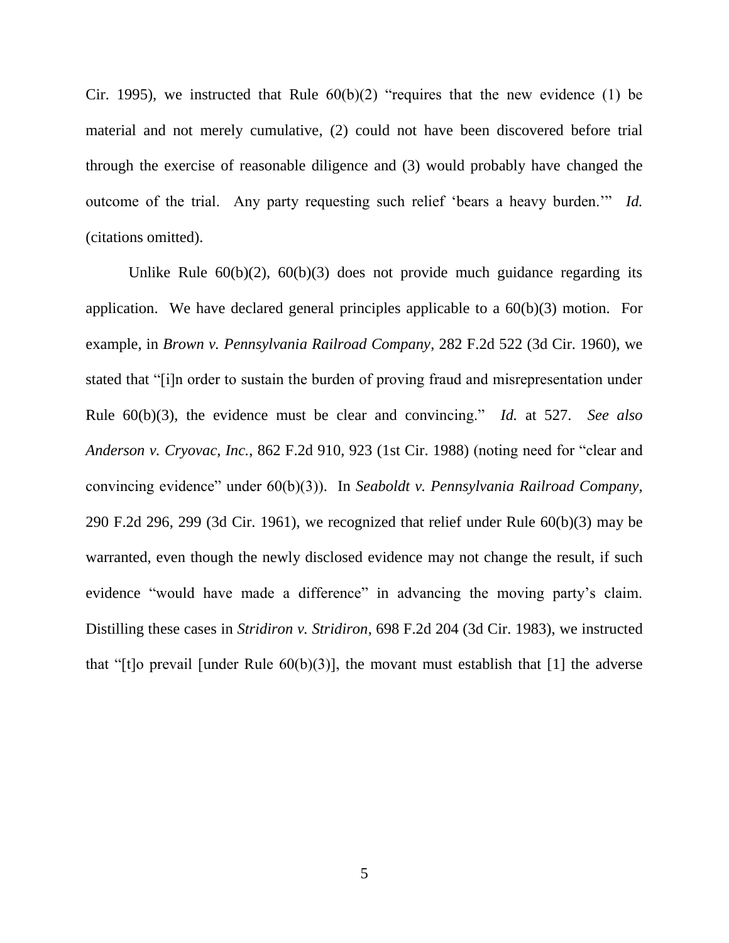Cir. 1995), we instructed that Rule  $60(b)(2)$  "requires that the new evidence (1) be material and not merely cumulative, (2) could not have been discovered before trial through the exercise of reasonable diligence and (3) would probably have changed the outcome of the trial. Any party requesting such relief "bears a heavy burden."" *Id.* (citations omitted).

Unlike Rule  $60(b)(2)$ ,  $60(b)(3)$  does not provide much guidance regarding its application. We have declared general principles applicable to a 60(b)(3) motion. For example, in *Brown v. Pennsylvania Railroad Company*, 282 F.2d 522 (3d Cir. 1960), we stated that "[i]n order to sustain the burden of proving fraud and misrepresentation under Rule 60(b)(3), the evidence must be clear and convincing." *Id.* at 527. *See also Anderson v. Cryovac, Inc.*, 862 F.2d 910, 923 (1st Cir. 1988) (noting need for "clear and convincing evidence" under 60(b)(3)). In *Seaboldt v. Pennsylvania Railroad Company*, 290 F.2d 296, 299 (3d Cir. 1961), we recognized that relief under Rule 60(b)(3) may be warranted, even though the newly disclosed evidence may not change the result, if such evidence "would have made a difference" in advancing the moving party's claim. Distilling these cases in *Stridiron v. Stridiron*, 698 F.2d 204 (3d Cir. 1983), we instructed that "[t]o prevail [under Rule  $60(b)(3)$ ], the movant must establish that [1] the adverse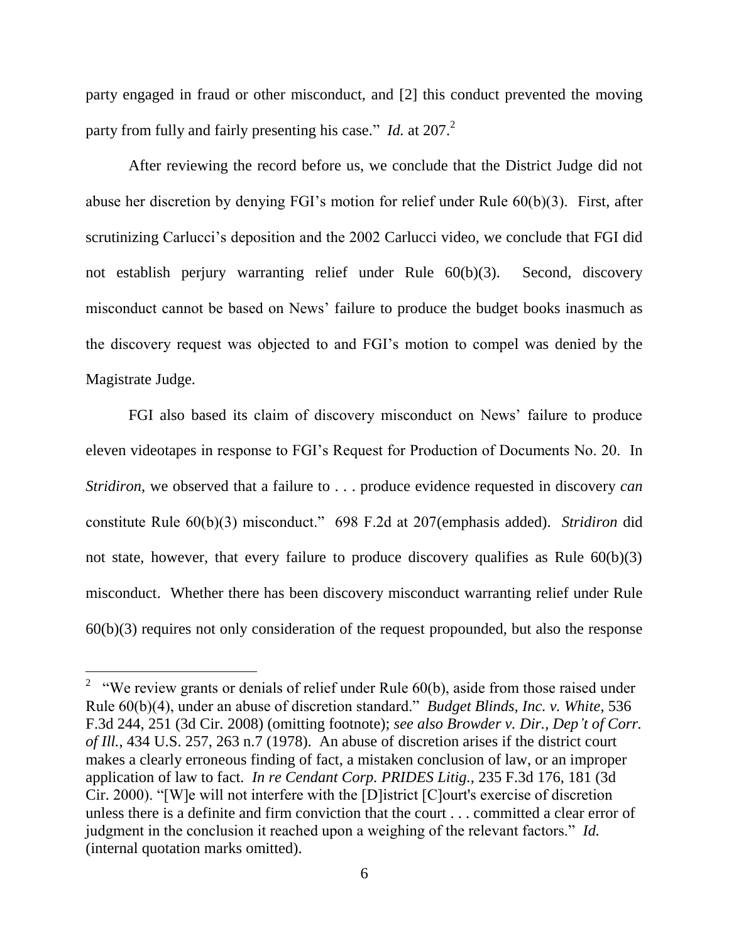party engaged in fraud or other misconduct, and [2] this conduct prevented the moving party from fully and fairly presenting his case." *Id.* at 207.<sup>2</sup>

After reviewing the record before us, we conclude that the District Judge did not abuse her discretion by denying FGI"s motion for relief under Rule 60(b)(3). First, after scrutinizing Carlucci"s deposition and the 2002 Carlucci video, we conclude that FGI did not establish perjury warranting relief under Rule 60(b)(3). Second, discovery misconduct cannot be based on News" failure to produce the budget books inasmuch as the discovery request was objected to and FGI"s motion to compel was denied by the Magistrate Judge.

FGI also based its claim of discovery misconduct on News' failure to produce eleven videotapes in response to FGI"s Request for Production of Documents No. 20. In *Stridiron*, we observed that a failure to . . . produce evidence requested in discovery *can* constitute Rule 60(b)(3) misconduct." 698 F.2d at 207(emphasis added). *Stridiron* did not state, however, that every failure to produce discovery qualifies as Rule  $60(b)(3)$ misconduct. Whether there has been discovery misconduct warranting relief under Rule  $60(b)(3)$  requires not only consideration of the request propounded, but also the response

 $\overline{a}$ 

<sup>&</sup>lt;sup>2</sup> "We review grants or denials of relief under Rule  $60(b)$ , aside from those raised under Rule 60(b)(4), under an abuse of discretion standard." *Budget Blinds, Inc. v. White*, 536 F.3d 244, 251 (3d Cir. 2008) (omitting footnote); *see also Browder v. Dir., Dep't of Corr. of Ill.*, 434 U.S. 257, 263 n.7 (1978). An abuse of discretion arises if the district court makes a clearly erroneous finding of fact, a mistaken conclusion of law, or an improper application of law to fact. *In re Cendant Corp. PRIDES Litig.*, 235 F.3d 176, 181 (3d Cir. 2000). "[W]e will not interfere with the [D]istrict [C]ourt's exercise of discretion unless there is a definite and firm conviction that the court . . . committed a clear error of judgment in the conclusion it reached upon a weighing of the relevant factors." *Id.* (internal quotation marks omitted).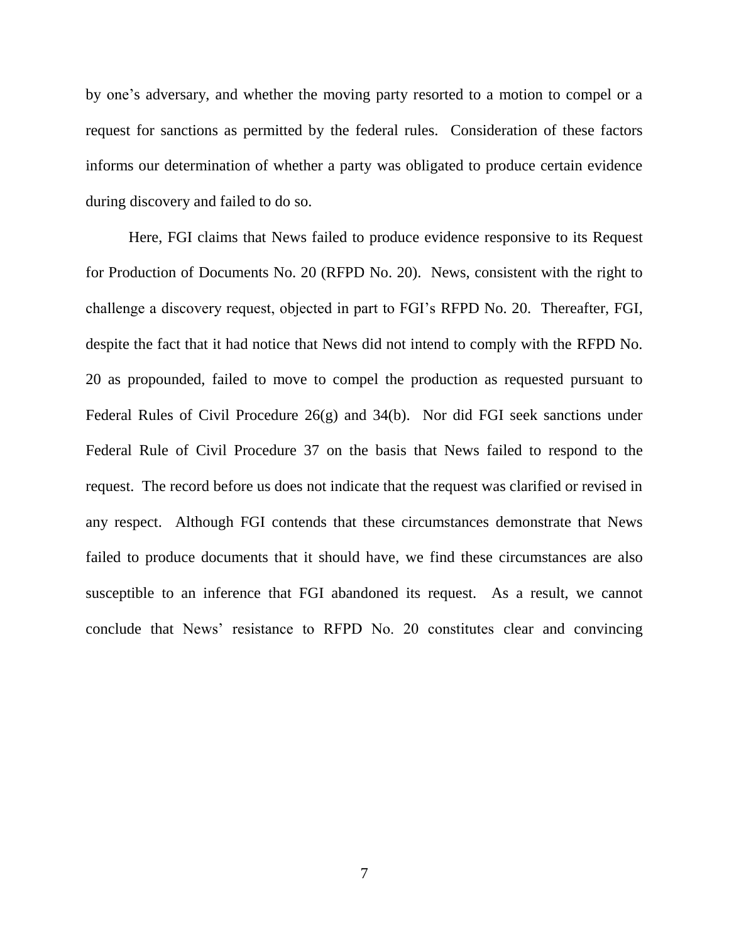by one"s adversary, and whether the moving party resorted to a motion to compel or a request for sanctions as permitted by the federal rules. Consideration of these factors informs our determination of whether a party was obligated to produce certain evidence during discovery and failed to do so.

Here, FGI claims that News failed to produce evidence responsive to its Request for Production of Documents No. 20 (RFPD No. 20). News, consistent with the right to challenge a discovery request, objected in part to FGI"s RFPD No. 20. Thereafter, FGI, despite the fact that it had notice that News did not intend to comply with the RFPD No. 20 as propounded, failed to move to compel the production as requested pursuant to Federal Rules of Civil Procedure 26(g) and 34(b). Nor did FGI seek sanctions under Federal Rule of Civil Procedure 37 on the basis that News failed to respond to the request. The record before us does not indicate that the request was clarified or revised in any respect. Although FGI contends that these circumstances demonstrate that News failed to produce documents that it should have, we find these circumstances are also susceptible to an inference that FGI abandoned its request. As a result, we cannot conclude that News" resistance to RFPD No. 20 constitutes clear and convincing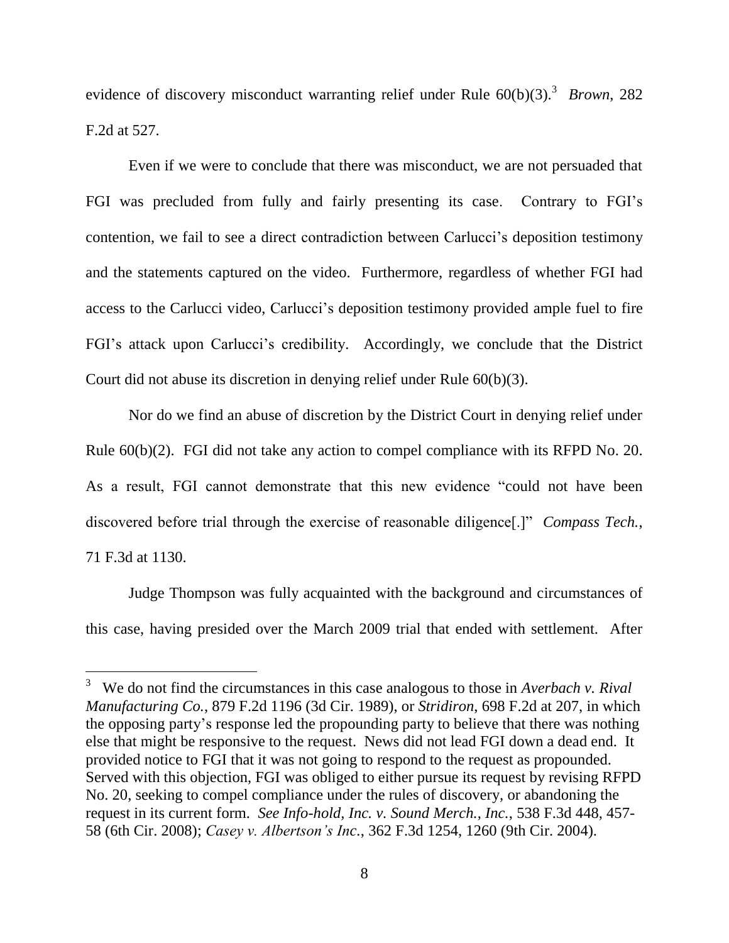evidence of discovery misconduct warranting relief under Rule 60(b)(3).<sup>3</sup> *Brown*, 282 F.2d at 527.

Even if we were to conclude that there was misconduct, we are not persuaded that FGI was precluded from fully and fairly presenting its case. Contrary to FGI"s contention, we fail to see a direct contradiction between Carlucci"s deposition testimony and the statements captured on the video. Furthermore, regardless of whether FGI had access to the Carlucci video, Carlucci"s deposition testimony provided ample fuel to fire FGI's attack upon Carlucci's credibility. Accordingly, we conclude that the District Court did not abuse its discretion in denying relief under Rule 60(b)(3).

Nor do we find an abuse of discretion by the District Court in denying relief under Rule 60(b)(2). FGI did not take any action to compel compliance with its RFPD No. 20. As a result, FGI cannot demonstrate that this new evidence "could not have been discovered before trial through the exercise of reasonable diligence[.]" *Compass Tech.*, 71 F.3d at 1130.

Judge Thompson was fully acquainted with the background and circumstances of this case, having presided over the March 2009 trial that ended with settlement. After

 $\overline{a}$ 

<sup>3</sup> We do not find the circumstances in this case analogous to those in *Averbach v. Rival Manufacturing Co.*, 879 F.2d 1196 (3d Cir. 1989), or *Stridiron*, 698 F.2d at 207, in which the opposing party"s response led the propounding party to believe that there was nothing else that might be responsive to the request. News did not lead FGI down a dead end. It provided notice to FGI that it was not going to respond to the request as propounded. Served with this objection, FGI was obliged to either pursue its request by revising RFPD No. 20, seeking to compel compliance under the rules of discovery, or abandoning the request in its current form. *See Info-hold, Inc. v. Sound Merch., Inc.*, 538 F.3d 448, 457- 58 (6th Cir. 2008); *Casey v. Albertson's Inc.*, 362 F.3d 1254, 1260 (9th Cir. 2004).